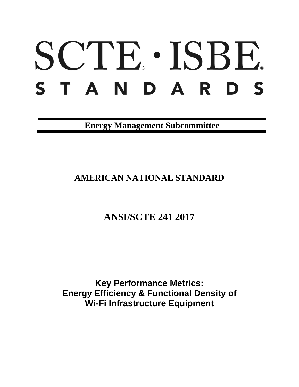# SCTE · ISBE. STANDARDS

**Energy Management Subcommittee**

# **AMERICAN NATIONAL STANDARD**

**ANSI/SCTE 241 2017**

**Key Performance Metrics: Energy Efficiency & Functional Density of Wi-Fi Infrastructure Equipment**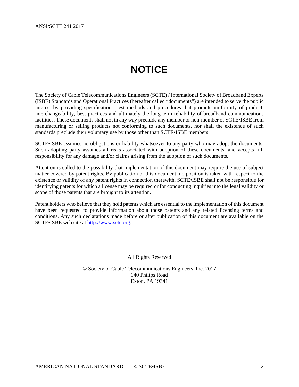# **NOTICE**

<span id="page-1-0"></span>The Society of Cable Telecommunications Engineers (SCTE) / International Society of Broadband Experts (ISBE) Standards and Operational Practices (hereafter called "documents") are intended to serve the public interest by providing specifications, test methods and procedures that promote uniformity of product, interchangeability, best practices and ultimately the long-term reliability of broadband communications facilities. These documents shall not in any way preclude any member or non-member of SCTE•ISBE from manufacturing or selling products not conforming to such documents, nor shall the existence of such standards preclude their voluntary use by those other than SCTE•ISBE members.

SCTE•ISBE assumes no obligations or liability whatsoever to any party who may adopt the documents. Such adopting party assumes all risks associated with adoption of these documents, and accepts full responsibility for any damage and/or claims arising from the adoption of such documents.

Attention is called to the possibility that implementation of this document may require the use of subject matter covered by patent rights. By publication of this document, no position is taken with respect to the existence or validity of any patent rights in connection therewith. SCTE•ISBE shall not be responsible for identifying patents for which a license may be required or for conducting inquiries into the legal validity or scope of those patents that are brought to its attention.

Patent holders who believe that they hold patents which are essential to the implementation of this document have been requested to provide information about those patents and any related licensing terms and conditions. Any such declarations made before or after publication of this document are available on the SCTE•ISBE web site at [http://www.scte.org.](http://www.scte.org/)

All Rights Reserved

© Society of Cable Telecommunications Engineers, Inc. 2017 140 Philips Road Exton, PA 19341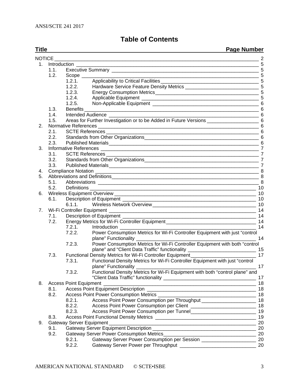# **Table of Contents**

| <b>Title</b>   |               |                        | <b>Page Number</b>                                                                                     |           |  |
|----------------|---------------|------------------------|--------------------------------------------------------------------------------------------------------|-----------|--|
|                | <b>NOTICE</b> |                        |                                                                                                        |           |  |
| 1.             |               |                        |                                                                                                        |           |  |
|                | 1.1.          |                        |                                                                                                        |           |  |
|                | 1.2.          | $Scope$ <sub>___</sub> |                                                                                                        |           |  |
|                |               | 1.2.1.                 |                                                                                                        |           |  |
|                |               | 1.2.2.                 |                                                                                                        |           |  |
|                |               | 1.2.3.                 |                                                                                                        |           |  |
|                |               | 1.2.4.                 |                                                                                                        |           |  |
|                |               | 1.2.5.                 |                                                                                                        |           |  |
|                | 1.3.          | <b>Benefits</b>        | $\overline{\phantom{a}}$ 6                                                                             |           |  |
|                | 1.4.          |                        | $\frac{1}{2}$ 6<br>Intended Audience <b>Exercise Serverse</b>                                          |           |  |
|                | 1.5.          |                        | Areas for Further Investigation or to be Added in Future Versions __________________________________ 6 |           |  |
| 2.             |               |                        |                                                                                                        |           |  |
|                | 2.1.          |                        |                                                                                                        |           |  |
|                | 2.2.          |                        |                                                                                                        |           |  |
|                | 2.3.          |                        |                                                                                                        |           |  |
| 3.             |               |                        |                                                                                                        |           |  |
|                | 3.1.          |                        |                                                                                                        |           |  |
|                | 3.2.          |                        |                                                                                                        |           |  |
|                | 3.3.          |                        |                                                                                                        |           |  |
| 4.             |               |                        |                                                                                                        |           |  |
| 5.             | 5.1.          |                        |                                                                                                        |           |  |
|                | 5.2.          |                        |                                                                                                        |           |  |
| 6.             |               |                        |                                                                                                        |           |  |
|                | 6.1.          |                        |                                                                                                        |           |  |
|                |               |                        |                                                                                                        |           |  |
| 7 <sub>1</sub> |               |                        |                                                                                                        | - 14      |  |
|                | 7.1.          |                        | Description of Equipment ________                                                                      | - 14      |  |
|                | 7.2.          |                        |                                                                                                        |           |  |
|                |               | 7.2.1.                 | Introduction ______________                                                                            | 14        |  |
|                |               | 7.2.2.                 | Power Consumption Metrics for Wi-Fi Controller Equipment with just "control                            |           |  |
|                |               |                        | plane" Functionality _                                                                                 | 14        |  |
|                |               | 7.2.3.                 | Power Consumption Metrics for Wi-Fi Controller Equipment with both "control                            |           |  |
|                |               |                        | plane" and "Client Data Traffic" functionality _________________________________ 15                    |           |  |
|                | 7.3.          |                        | Functional Density Metrics for Wi-Fi Controller Equipment_______________                               | 17        |  |
|                |               | 7.3.1.                 | Functional Density Metrics for Wi-Fi Controller Equipment with just "control                           |           |  |
|                |               |                        |                                                                                                        | $\sim$ 17 |  |
|                |               | 7.3.2.                 | Functional Density Metrics for Wi-Fi Equipment with both "control plane" and                           |           |  |
|                |               |                        |                                                                                                        | 17        |  |
| 8.             |               |                        |                                                                                                        | 18        |  |
|                | 8.1.          |                        |                                                                                                        | 18        |  |
|                | 8.2.          |                        |                                                                                                        |           |  |
|                |               | 8.2.1.                 | Access Point Power Consumption per Throughput __________________________________ 18                    |           |  |
|                |               | 8.2.2.                 |                                                                                                        |           |  |
|                |               | 8.2.3.                 |                                                                                                        |           |  |
|                | 8.3.          |                        |                                                                                                        | 19        |  |
| 9.             |               |                        | Gateway Server Equipment                                                                               | 20        |  |
|                | 9.1.          |                        |                                                                                                        | 20        |  |
|                | 9.2.          |                        |                                                                                                        | 20        |  |
|                |               | 9.2.1.                 | Gateway Server Power Consumption per Session ___________________________________ 20                    |           |  |
|                |               | 9.2.2.                 |                                                                                                        | 20        |  |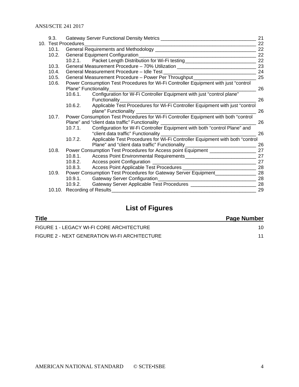|  | 9.3.                                                                                         |                                                                                        |                                                                                      | 21 |
|--|----------------------------------------------------------------------------------------------|----------------------------------------------------------------------------------------|--------------------------------------------------------------------------------------|----|
|  | 10. Test Procedures                                                                          |                                                                                        |                                                                                      | 22 |
|  | 10.1.                                                                                        |                                                                                        |                                                                                      | 22 |
|  | 10.2.                                                                                        |                                                                                        |                                                                                      |    |
|  |                                                                                              | $10.2.1$ .                                                                             |                                                                                      |    |
|  | 10.3.                                                                                        |                                                                                        | General Measurement Procedure - 70% Utilization ________________________________     | 23 |
|  | 10.4.                                                                                        |                                                                                        |                                                                                      |    |
|  | 10.5.                                                                                        | 25<br>General Measurement Procedure - Power Per Throughput ___________________________ |                                                                                      |    |
|  | 10.6.<br>Power Consumption Test Procedures for Wi-Fi Controller Equipment with just "control |                                                                                        |                                                                                      |    |
|  |                                                                                              |                                                                                        | Plane" Functionality                                                                 | 26 |
|  |                                                                                              | 10.6.1.                                                                                |                                                                                      |    |
|  |                                                                                              |                                                                                        | Functionality                                                                        | 26 |
|  |                                                                                              | 10.6.2.                                                                                | Applicable Test Procedures for Wi-Fi Controller Equipment with just "control         |    |
|  |                                                                                              |                                                                                        |                                                                                      | 26 |
|  | Power Consumption Test Procedures for Wi-Fi Controller Equipment with both "control<br>10.7. |                                                                                        |                                                                                      |    |
|  | Plane" and "client data traffic" Functionality _________________________________             |                                                                                        |                                                                                      | 26 |
|  |                                                                                              | 10.7.1.                                                                                | Configuration for W-Fi Controller Equipment with both "control Plane" and            |    |
|  |                                                                                              |                                                                                        |                                                                                      | 26 |
|  |                                                                                              | 10.7.2.                                                                                | Applicable Test Procedures for Wi-Fi Controller Equipment with both "control         |    |
|  |                                                                                              |                                                                                        | Plane" and "client data traffic" Functionality__________________________________     | 26 |
|  | 10.8.                                                                                        |                                                                                        | Power Consumption Test Procedures for Access point Equipment ____________________ 27 |    |
|  |                                                                                              | 10.8.1.                                                                                |                                                                                      |    |
|  |                                                                                              |                                                                                        |                                                                                      | 27 |
|  |                                                                                              | 10.8.3.                                                                                |                                                                                      |    |
|  | 10.9.                                                                                        |                                                                                        | Power Consumption Test Procedures for Gateway Server Equipment__________________ 28  |    |
|  |                                                                                              |                                                                                        |                                                                                      | 28 |
|  |                                                                                              | 10.9.2.                                                                                |                                                                                      |    |
|  |                                                                                              |                                                                                        |                                                                                      | 29 |

# **List of Figures**

| <b>Title</b>                                  | <b>Page Number</b> |
|-----------------------------------------------|--------------------|
| FIGURE 1 - LEGACY WI-FI CORE ARCHITECTURE     | 10                 |
| FIGURE 2 - NEXT GENERATION WI-FI ARCHITECTURE |                    |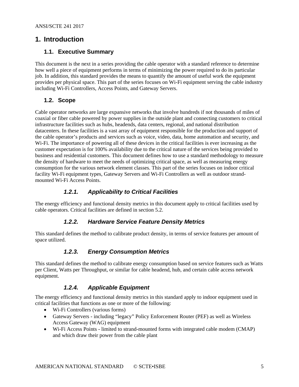#### <span id="page-4-1"></span><span id="page-4-0"></span>**1. Introduction**

#### **1.1. Executive Summary**

This document is the next in a series providing the cable operator with a standard reference to determine how well a piece of equipment performs in terms of minimizing the power required to do its particular job. In addition, this standard provides the means to quantify the amount of useful work the equipment provides per physical space. This part of the series focuses on Wi-Fi equipment serving the cable industry including Wi-Fi Controllers, Access Points, and Gateway Servers.

#### <span id="page-4-2"></span>**1.2. Scope**

Cable operator networks are large expansive networks that involve hundreds if not thousands of miles of coaxial or fiber cable powered by power supplies in the outside plant and connecting customers to critical infrastructure facilities such as hubs, headends, data centers, regional, and national distribution datacenters. In these facilities is a vast array of equipment responsible for the production and support of the cable operator's products and services such as voice, video, data, home automation and security, and W<sub>i-Fi.</sub> The importance of powering all of these devices in the critical facilities is ever increasing as the customer expectation is for 100% availability due to the critical nature of the services being provided to business and residential customers. This document defines how to use a standard methodology to measure the density of hardware to meet the needs of optimizing critical space, as well as measuring energy consumption for the various network element classes. This part of the series focuses on indoor critical facility Wi-Fi equipment types, Gateway Servers and Wi-Fi Controllers as well as outdoor strandmounted Wi-Fi Access Points.

#### *1.2.1. Applicability to Critical Facilities*

<span id="page-4-4"></span><span id="page-4-3"></span>The energy efficiency and functional density metrics in this document apply to critical facilities used by cable operators. Critical facilities are defined in section 5.2.

#### *1.2.2. Hardware Service Feature Density Metrics*

<span id="page-4-5"></span>This standard defines the method to calibrate product density, in terms of service features per amount of space utilized.

#### *1.2.3. Energy Consumption Metrics*

This standard defines the method to calibrate energy consumption based on service features such as Watts per Client, Watts per Throughput, or similar for cable headend, hub, and certain cable access network equipment.

#### *1.2.4. Applicable Equipment*

<span id="page-4-6"></span>The energy efficiency and functional density metrics in this standard apply to indoor equipment used in critical facilities that functions as one or more of the following:

- Wi-Fi Controllers (various forms)
- Gateway Servers including "legacy" Policy Enforcement Router (PEF) as well as Wireless Access Gateway (WAG) equipment
- Wi-Fi Access Points limited to strand-mounted forms with integrated cable modem (CMAP) and which draw their power from the cable plant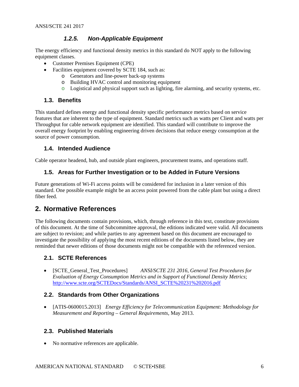#### *1.2.5. Non-Applicable Equipment*

<span id="page-5-0"></span>The energy efficiency and functional density metrics in this standard do NOT apply to the following equipment classes.

- Customer Premises Equipment (CPE)
- Facilities equipment covered by SCTE 184, such as:
	- o Generators and line-power back-up systems
	- o Building HVAC control and monitoring equipment
	- o Logistical and physical support such as lighting, fire alarming, and security systems, etc.

#### <span id="page-5-1"></span>**1.3. Benefits**

This standard defines energy and functional density specific performance metrics based on service features that are inherent to the type of equipment. Standard metrics such as watts per Client and watts per Throughput for cable network equipment are identified. This standard will contribute to improve the overall energy footprint by enabling engineering driven decisions that reduce energy consumption at the source of power consumption.

#### <span id="page-5-2"></span>**1.4. Intended Audience**

<span id="page-5-3"></span>Cable operator headend, hub, and outside plant engineers, procurement teams, and operations staff.

#### **1.5. Areas for Further Investigation or to be Added in Future Versions**

Future generations of Wi-Fi access points will be considered for inclusion in a later version of this standard. One possible example might be an access point powered from the cable plant but using a direct fiber feed.

#### <span id="page-5-4"></span>**2. Normative References**

The following documents contain provisions, which, through reference in this text, constitute provisions of this document. At the time of Subcommittee approval, the editions indicated were valid. All documents are subject to revision; and while parties to any agreement based on this document are encouraged to investigate the possibility of applying the most recent editions of the documents listed below, they are reminded that newer editions of those documents might not be compatible with the referenced version.

#### <span id="page-5-5"></span>**2.1. SCTE References**

• [SCTE\_General\_Test\_Procedures] *ANSI/SCTE 231 2016, General Test Procedures for Evaluation of Energy Consumption Metrics and in Support of Functional Density Metrics*; [http://www.scte.org/SCTEDocs/Standards/ANSI\\_SCTE%20231%202016.pdf](http://www.scte.org/SCTEDocs/Standards/ANSI_SCTE%20231%202016.pdf)

#### <span id="page-5-6"></span>**2.2. Standards from Other Organizations**

• [ATIS-0600015.2013] *Energy Efficiency for Telecommunication Equipment: Methodology for Measurement and Reporting – General Requirements*, May 2013.

#### <span id="page-5-7"></span>**2.3. Published Materials**

• No normative references are applicable.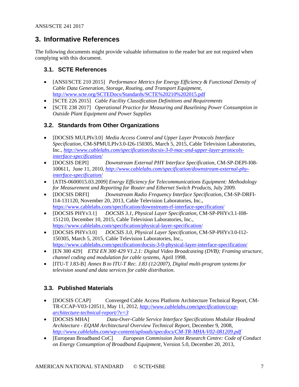## <span id="page-6-0"></span>**3. Informative References**

The following documents might provide valuable information to the reader but are not required when complying with this document.

#### <span id="page-6-1"></span>**3.1. SCTE References**

- [ANSI/SCTE 210 2015] *Performance Metrics for Energy Efficiency & Functional Density of Cable Data Generation, Storage, Routing, and Transport Equipment*, <http://www.scte.org/SCTEDocs/Standards/SCTE%20210%202015.pdf>
- [SCTE 226 2015] *Cable Facility Classification Definitions and Requirements*
- [SCTE 238 2017] *Operational Practice for Measuring and Baselining Power Consumption in Outside Plant Equipment and Power Supplies*

#### <span id="page-6-2"></span>**3.2. Standards from Other Organizations**

- [DOCSIS MULPIv3.0] *Media Access Control and Upper Layer Protocols Interface Specification,* CM-SPMULPIv3.0-I26-150305, March 5, 2015, Cable Television Laboratories, Inc.*, [http://www.cablelabs.com/specification/docsis-3-0-mac-and-upper-layer-protocols](http://www.cablelabs.com/specification/docsis-3-0-mac-and-upper-layer-protocols-interface-specification/)[interface-specification/](http://www.cablelabs.com/specification/docsis-3-0-mac-and-upper-layer-protocols-interface-specification/)*
- [DOCSIS DEPI] *Downstream External PHY Interface Specification,* CM-SP-DEPI-I08- 100611, June 11, 2010, *[http://www.cablelabs.com/specification/downstream-external-phy](http://www.cablelabs.com/specification/downstream-external-phy-interface-specification/)[interface-specification/](http://www.cablelabs.com/specification/downstream-external-phy-interface-specification/)*
- [ATIS-0600015.03.2009] *Energy Efficiency for Telecommunications Equipment: Methodology for Measurement and Reporting for Router and Ethernet Switch Products*, July 2009.
- [DOCSIS DRFI] *Downstream Radio Frequency Interface Specification*, CM-SP-DRFI-I14-131120, November 20, 2013, Cable Television Laboratories, Inc., <https://www.cablelabs.com/specification/downstream-rf-interface-specification/>
- [DOCSIS PHYv3.1] *DOCSIS 3.1, Physical Layer Specification*, CM-SP-PHYv3.1-I08- 151210, December 10, 2015, Cable Television Laboratories, Inc., <https://www.cablelabs.com/specification/physical-layer-specification/>
- [DOCSIS PHYv3.0] *DOCSIS 3.0, Physical Layer Specification*, CM-SP-PHYv3.0-I12- 150305, March 5, 2015, Cable Television Laboratories, Inc., <https://www.cablelabs.com/specification/docsis-3-0-physical-layer-interface-specification/>
- [EN 300 429] *ETSI EN 300 429 V1.2.1: Digital Video Broadcasting (DVB); Framing structure, channel coding and modulation for cable systems*, April 1998.
- [ITU-T J.83-B] *Annex B to ITU-T Rec. J.83 (12/2007), Digital multi-program systems for television sound and data services for cable distribution*.

#### <span id="page-6-3"></span>**3.3. Published Materials**

- [DOCSIS CCAP] Converged Cable Access Platform Architecture Technical Report, CM-TR-CCAP-V03-120511, May 11, 2012, *[http://www.cablelabs.com/specification/ccap](http://www.cablelabs.com/specification/ccap-architecture-technical-report/?v=3)[architecture-technical-report/?v=3](http://www.cablelabs.com/specification/ccap-architecture-technical-report/?v=3)*
- [DOCSIS MHA] *Data-Over-Cable Service Interface Specifications Modular Headend Architecture - EQAM Architectural Overview Technical Report,* December 9, 2008, *<http://www.cablelabs.com/wp-content/uploads/specdocs/CM-TR-MHA-V02-081209.pdf>*
- [European Broadband CoC] *European Commission Joint Research Centre: Code of Conduct on Energy Consumption of Broadband Equipment,* Version 5.0, December 20, 2013,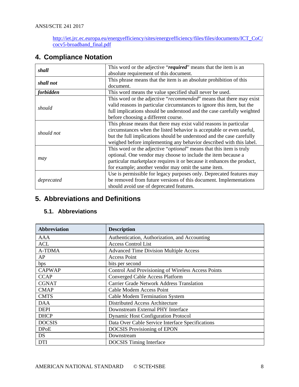[http://iet.jrc.ec.europa.eu/energyefficiency/sites/energyefficiency/files/files/documents/ICT\\_CoC/](http://iet.jrc.ec.europa.eu/energyefficiency/sites/energyefficiency/files/files/documents/ICT_CoC/cocv5-broadband_final.pdf) [cocv5-broadband\\_final.pdf](http://iet.jrc.ec.europa.eu/energyefficiency/sites/energyefficiency/files/files/documents/ICT_CoC/cocv5-broadband_final.pdf)

# <span id="page-7-0"></span>**4. Compliance Notation**

| shall      | This word or the adjective "required" means that the item is an              |
|------------|------------------------------------------------------------------------------|
|            | absolute requirement of this document.                                       |
| shall not  | This phrase means that the item is an absolute prohibition of this           |
|            | document.                                                                    |
| forbidden  | This word means the value specified shall never be used.                     |
|            | This word or the adjective "recommended" means that there may exist          |
| should     | valid reasons in particular circumstances to ignore this item, but the       |
|            | full implications should be understood and the case carefully weighted       |
|            | before choosing a different course.                                          |
|            | This phrase means that there may exist valid reasons in particular           |
| should not | circumstances when the listed behavior is acceptable or even useful,         |
|            | but the full implications should be understood and the case carefully        |
|            | weighed before implementing any behavior described with this label.          |
|            | This word or the adjective " <i>optional</i> " means that this item is truly |
|            | optional. One vendor may choose to include the item because a                |
| may        | particular marketplace requires it or because it enhances the product,       |
|            | for example; another vendor may omit the same item.                          |
|            | Use is permissible for legacy purposes only. Deprecated features may         |
| deprecated | be removed from future versions of this document. Implementations            |
|            | should avoid use of deprecated features.                                     |

# <span id="page-7-1"></span>**5. Abbreviations and Definitions**

#### <span id="page-7-2"></span>**5.1. Abbreviations**

| Abbreviation  | <b>Description</b>                                 |  |
|---------------|----------------------------------------------------|--|
| AAA           | Authentication, Authorization, and Accounting      |  |
| <b>ACL</b>    | <b>Access Control List</b>                         |  |
| <b>A-TDMA</b> | <b>Advanced Time Division Multiple Access</b>      |  |
| AP            | <b>Access Point</b>                                |  |
| bps           | bits per second                                    |  |
| <b>CAPWAP</b> | Control And Provisioning of Wireless Access Points |  |
| <b>CCAP</b>   | <b>Converged Cable Access Platform</b>             |  |
| <b>CGNAT</b>  | <b>Carrier Grade Network Address Translation</b>   |  |
| <b>CMAP</b>   | Cable Modem Access Point                           |  |
| <b>CMTS</b>   | <b>Cable Modem Termination System</b>              |  |
| DAA           | Distributed Access Architecture                    |  |
| <b>DEPI</b>   | Downstream External PHY Interface                  |  |
| <b>DHCP</b>   | <b>Dynamic Host Configuration Protocol</b>         |  |
| <b>DOCSIS</b> | Data Over Cable Service Interface Specifications   |  |
| <b>DPoE</b>   | <b>DOCSIS</b> Provisioning of EPON                 |  |
| DS            | Downstream                                         |  |
| <b>DTI</b>    | <b>DOCSIS</b> Timing Interface                     |  |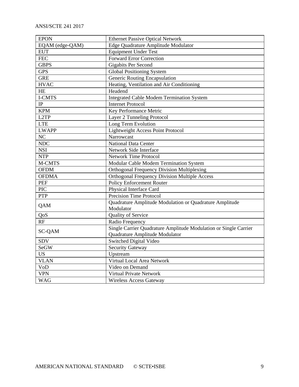| <b>EPON</b>     | <b>Ethernet Passive Optical Network</b>                                                            |  |
|-----------------|----------------------------------------------------------------------------------------------------|--|
| EQAM (edge-QAM) | Edge Quadrature Amplitude Modulator                                                                |  |
| <b>EUT</b>      | <b>Equipment Under Test</b>                                                                        |  |
| <b>FEC</b>      | <b>Forward Error Correction</b>                                                                    |  |
| <b>GBPS</b>     | <b>Gigabits Per Second</b>                                                                         |  |
| <b>GPS</b>      | <b>Global Positioning System</b>                                                                   |  |
| <b>GRE</b>      | Generic Routing Encapsulation                                                                      |  |
| <b>HVAC</b>     | Heating, Ventilation and Air Conditioning                                                          |  |
| HE              | Headend                                                                                            |  |
| I-CMTS          | <b>Integrated Cable Modem Termination System</b>                                                   |  |
| IP              | <b>Internet Protocol</b>                                                                           |  |
| <b>KPM</b>      | Key Performance Metric                                                                             |  |
| L2TP            | Layer 2 Tunneling Protocol                                                                         |  |
| <b>LTE</b>      | Long Term Evolution                                                                                |  |
| <b>LWAPP</b>    | <b>Lightweight Access Point Protocol</b>                                                           |  |
| NC              | Narrowcast                                                                                         |  |
| NDC             | <b>National Data Center</b>                                                                        |  |
| <b>NSI</b>      | Network Side Interface                                                                             |  |
| <b>NTP</b>      | <b>Network Time Protocol</b>                                                                       |  |
| M-CMTS          | Modular Cable Modem Termination System                                                             |  |
| <b>OFDM</b>     | <b>Orthogonal Frequency Division Multiplexing</b>                                                  |  |
| <b>OFDMA</b>    | <b>Orthogonal Frequency Division Multiple Access</b>                                               |  |
| PEF             | Policy Enforcement Router                                                                          |  |
| <b>PIC</b>      | Physical Interface Card                                                                            |  |
| PTP             | Precision Time Protocol                                                                            |  |
| QAM             | Quadrature Amplitude Modulation or Quadrature Amplitude<br>Modulator                               |  |
| QoS             | Quality of Service                                                                                 |  |
| RF              | Radio Frequency                                                                                    |  |
| <b>SC-QAM</b>   | Single Carrier Quadrature Amplitude Modulation or Single Carrier<br>Quadrature Amplitude Modulator |  |
| <b>SDV</b>      | Switched Digital Video                                                                             |  |
| <b>SeGW</b>     | <b>Security Gateway</b>                                                                            |  |
| <b>US</b>       | Upstream                                                                                           |  |
| <b>VLAN</b>     | Virtual Local Area Network                                                                         |  |
| VoD             | Video on Demand                                                                                    |  |
| <b>VPN</b>      | Virtual Private Network                                                                            |  |
| <b>WAG</b>      | <b>Wireless Access Gateway</b>                                                                     |  |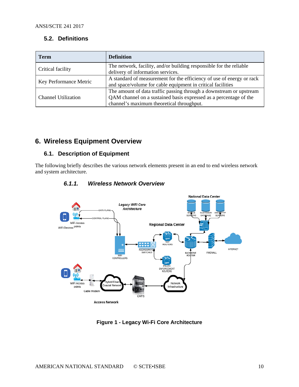#### <span id="page-9-0"></span>**5.2. Definitions**

| <b>Term</b>                | <b>Definition</b>                                                                                                                                                                     |  |
|----------------------------|---------------------------------------------------------------------------------------------------------------------------------------------------------------------------------------|--|
| Critical facility          | The network, facility, and/or building responsible for the reliable<br>delivery of information services.                                                                              |  |
| Key Performance Metric     | A standard of measurement for the efficiency of use of energy or rack<br>and space/volume for cable equipment in critical facilities                                                  |  |
| <b>Channel Utilization</b> | The amount of data traffic passing through a downstream or upstream<br>QAM channel on a sustained basis expressed as a percentage of the<br>channel's maximum theoretical throughput. |  |

# <span id="page-9-1"></span>**6. Wireless Equipment Overview**

#### <span id="page-9-2"></span>**6.1. Description of Equipment**

<span id="page-9-3"></span>The following briefly describes the various network elements present in an end to end wireless network and system architecture.



#### *6.1.1. Wireless Network Overview*

<span id="page-9-4"></span>**Figure 1 - Legacy Wi-Fi Core Architecture**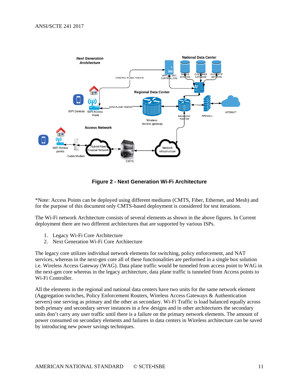

**Figure 2 - Next Generation Wi-Fi Architecture**

<span id="page-10-0"></span>\*Note: Access Points can be deployed using different mediums (CMTS, Fiber, Ethernet, and Mesh) and for the purpose of this document only CMTS-based deployment is considered for test iterations.

The Wi-Fi network Architecture consists of several elements as shown in the above figures. In Current deployment there are two different architectures that are supported by various ISPs.

- 1. Legacy Wi-Fi Core Architecture
- 2. Next Generation Wi-Fi Core Architecture

The legacy core utilizes individual network elements for switching, policy enforcement, and NAT services, whereas in the next-gen core all of these functionalities are performed in a single box solution i.e. Wireless Access Gateway (WAG). Data plane traffic would be tunneled from access point to WAG in the next-gen core whereas in the legacy architecture, data plane traffic is tunneled from Access points to Wi-Fi Controller.

All the elements in the regional and national data centers have two units for the same network element (Aggregation switches, Policy Enforcement Routers, Wireless Access Gateways & Authentication servers) one serving as primary and the other as secondary. Wi-Fi Traffic is load balanced equally across both primary and secondary server instances in a few designs and in other architectures the secondary units don't carry any user traffic until there is a failure on the primary network elements. The amount of power consumed on secondary elements and failures in data centers in Wireless architecture can be saved by introducing new power savings techniques.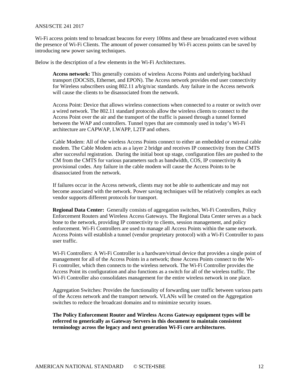#### ANSI/SCTE 241 2017

Wi-Fi access points tend to broadcast beacons for every 100ms and these are broadcasted even without the presence of Wi-Fi Clients. The amount of power consumed by Wi-Fi access points can be saved by introducing new power saving techniques.

Below is the description of a few elements in the Wi-Fi Architectures.

**Access network:** This generally consists of wireless Access Points and underlying backhaul transport (DOCSIS, Ethernet, and EPON). The Access network provides end user connectivity for Wireless subscribers using 802.11 a/b/g/n/ac standards. Any failure in the Access network will cause the clients to be disassociated from the network.

Access Point: Device that allows wireless connections when connected to a router or switch over a wired network. The 802.11 standard protocols allow the wireless clients to connect to the Access Point over the air and the transport of the traffic is passed through a tunnel formed between the WAP and controllers. Tunnel types that are commonly used in today's Wi-Fi architecture are CAPWAP, LWAPP, L2TP and others.

Cable Modem: All of the wireless Access Points connect to either an embedded or external cable modem. The Cable Modem acts as a layer 2 bridge and receives IP connectivity from the CMTS after successful registration. During the initial boot up stage, configuration files are pushed to the CM from the CMTS for various parameters such as bandwidth, COS, IP connectivity  $\&$ provisional codes. Any failure in the cable modem will cause the Access Points to be disassociated from the network.

If failures occur in the Access network, clients may not be able to authenticate and may not become associated with the network. Power saving techniques will be relatively complex as each vendor supports different protocols for transport.

**Regional Data Center:** Generally consists of aggregation switches, Wi-Fi Controllers, Policy Enforcement Routers and Wireless Access Gateways. The Regional Data Center serves as a back bone to the network, providing IP connectivity to clients, session management, and policy enforcement. Wi-Fi Controllers are used to manage all Access Points within the same network. Access Points will establish a tunnel (vendor proprietary protocol) with a Wi-Fi Controller to pass user traffic.

Wi-Fi Controllers: A Wi-Fi Controller is a hardware/virtual device that provides a single point of management for all of the Access Points in a network; those Access Points connect to the Wi-Fi controller, which then connects to the wireless network. The Wi-Fi Controller provides the Access Point its configuration and also functions as a switch for all of the wireless traffic. The Wi-Fi Controller also consolidates management for the entire wireless network in one place.

Aggregation Switches: Provides the functionality of forwarding user traffic between various parts of the Access network and the transport network. VLANs will be created on the Aggregation switches to reduce the broadcast domains and to minimize security issues.

**The Policy Enforcement Router and Wireless Access Gateway equipment types will be referred to generically as Gateway Servers in this document to maintain consistent terminology across the legacy and next generation Wi-Fi core architectures**.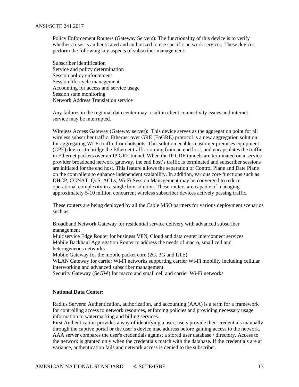Policy Enforcement Routers (Gateway Servers): The functionality of this device is to verify whether a user is authenticated and authorized to use specific network services. These devices perform the following key aspects of subscriber management:

Subscriber identification Service and policy determination Session policy enforcement Session life-cycle management Accounting for access and service usage Session state monitoring Network Address Translation service

Any failures in the regional data center may result in client connectivity issues and internet service may be interrupted.

Wireless Access Gateway (Gateway server): This device serves as the aggregation point for all wireless subscriber traffic. Ethernet over GRE (EoGRE) protocol is a new aggregation solution for aggregating Wi-Fi traffic from hotspots. This solution enables customer premises equipment (CPE) devices to bridge the Ethernet traffic coming from an end host, and encapsulates the traffic in Ethernet packets over an IP GRE tunnel. When the IP GRE tunnels are terminated on a service provider broadband network gateway, the end host's traffic is terminated and subscriber sessions are initiated for the end host. This feature allows the separation of Control Plane and Date Plane on the controllers to enhance independent scalability. In addition, various core functions such as DHCP, CGNAT, QoS, ACLs, Wi-Fi Session Management may be converged to reduce operational complexity in a single box solution. These routers are capable of managing approximately 5-10 million concurrent wireless subscriber devices actively passing traffic.

These routers are being deployed by all the Cable MSO partners for various deployment scenarios such as:

Broadband Network Gateway for residential service delivery with advanced subscriber management

Multiservice Edge Router for business VPN, Cloud and data center interconnect services Mobile Backhaul Aggregation Router to address the needs of macro, small cell and heterogeneous networks

Mobile Gateway for the mobile packet core (2G, 3G and LTE)

WLAN Gateway for carrier Wi-Fi networks supporting carrier Wi-Fi mobility including cellular interworking and advanced subscriber management

Security Gateway (SeGW) for macro and small cell and carrier Wi-Fi networks

#### **National Data Center:**

Radius Servers: Authentication, authorization, and accounting (AAA) is a term for a framework for controlling access to network resources, enforcing policies and providing necessary usage information to watermarking and billing services.

First Authentication provides a way of identifying a user; users provide their credentials manually through the captive portal or the user's device mac address before gaining access to the network. AAA server compares the user's credentials against a stored user database / directory. Access to the network is granted only when the credentials match with the database. If the credentials are at variance, authentication fails and network access is denied to the subscriber.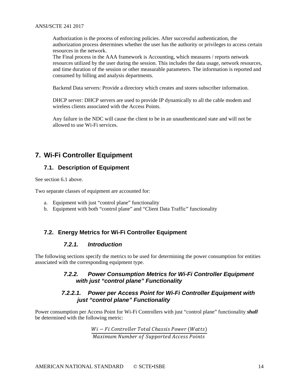Authorization is the process of enforcing policies. After successful authentication, the authorization process determines whether the user has the authority or privileges to access certain resources in the network.

The Final process in the AAA framework is Accounting, which measures / reports network resources utilized by the user during the session. This includes the data usage, network resources, and time duration of the session or other measurable parameters. The information is reported and consumed by billing and analysis departments.

Backend Data servers: Provide a directory which creates and stores subscriber information.

DHCP server: DHCP servers are used to provide IP dynamically to all the cable modem and wireless clients associated with the Access Points.

Any failure in the NDC will cause the client to be in an unauthenticated state and will not be allowed to use Wi-Fi services.

# <span id="page-13-1"></span><span id="page-13-0"></span>**7. Wi-Fi Controller Equipment**

#### **7.1. Description of Equipment**

See section [6.1](#page-9-2) above.

Two separate classes of equipment are accounted for:

- a. Equipment with just "control plane" functionality
- b. Equipment with both "control plane" and "Client Data Traffic" functionality

#### <span id="page-13-3"></span><span id="page-13-2"></span>**7.2. Energy Metrics for Wi-Fi Controller Equipment**

#### *7.2.1. Introduction*

<span id="page-13-4"></span>The following sections specify the metrics to be used for determining the power consumption for entities associated with the corresponding equipment type.

#### *7.2.2. Power Consumption Metrics for Wi-Fi Controller Equipment with just "control plane" Functionality*

#### *7.2.2.1. Power per Access Point for Wi-Fi Controller Equipment with just "control plane" Functionality*

<span id="page-13-5"></span>Power consumption per Access Point for Wi-Fi Controllers with just "control plane" functionality *shall* be determined with the following metric:

> $Wi-Fi$  Controller Total Chassis Power (Watts) Maximum Number of Supported Access Points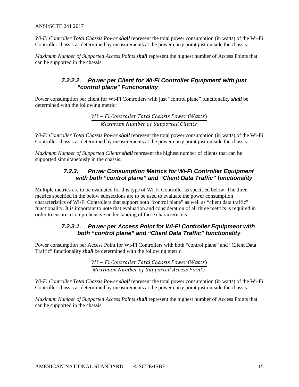ANSI/SCTE 241 2017

*Wi-Fi Controller Total Chassis Power shall* represent the total power consumption (in watts) of the Wi-Fi Controller chassis as determined by measurements at the power entry point just outside the chassis.

<span id="page-14-1"></span>*Maximum Number of Supported Access Points shall* represent the highest number of Access Points that can be supported in the chassis.

#### *7.2.2.2. Power per Client for Wi-Fi Controller Equipment with just "control plane" Functionality*

Power consumption per client for Wi-Fi Controllers with just "control plane" functionality *shall* be determined with the following metric:

> $Wi-Fi$  Controller Total Chassis Power (Watts) Maximum Number of Supported Clients

*Wi-Fi Controller Total Chassis Power shall* represent the total power consumption (in watts) of the Wi-Fi Controller chassis as determined by measurements at the power entry point just outside the chassis.

<span id="page-14-0"></span>*Maximum Number of Supported Clients shall* represent the highest number of clients that can be supported simultaneously in the chassis.

#### *7.2.3. Power Consumption Metrics for Wi-Fi Controller Equipment with both "control plane" and "Client Data Traffic" functionality*

Multiple metrics are to be evaluated for this type of Wi-Fi Controller as specified below. The three metrics specified in the below subsections are to be used to evaluate the power consumption characteristics of Wi-Fi Controllers that support both "control plane" as well as "client data traffic" functionality. It is important to note that evaluation and consideration of all three metrics is required in order to ensure a comprehensive understanding of these characteristics.

#### *7.2.3.1. Power per Access Point for Wi-Fi Controller Equipment with both "control plane" and "Client Data Traffic" functionality*

<span id="page-14-2"></span>Power consumption per Access Point for Wi-Fi Controllers with both "control plane" and "Client Data Traffic" functionality *shall* be determined with the following metric:

> $Wi-Fi$  Controller Total Chassis Power (Watts) Maximum Number of Supported Access Points

<span id="page-14-3"></span>*Wi-Fi Controller Total Chassis Power shall* represent the total power consumption (in watts) of the Wi-Fi Controller chassis as determined by measurements at the power entry point just outside the chassis.

*Maximum Number of Supported Access Points shall* represent the highest number of Access Points that can be supported in the chassis.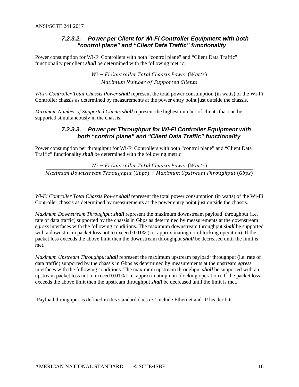#### *7.2.3.2. Power per Client for Wi-Fi Controller Equipment with both "control plane" and "Client Data Traffic" functionality*

Power consumption for Wi-Fi Controllers with both "control plane" and "Client Data Traffic" functionality per client *shall* be determined with the following metric:

> $Wi-Fi$  Controller Total Chassis Power (Watts) Maximum Number of Supported Clients

*Wi-Fi Controller Total Chassis Power shall* represent the total power consumption (in watts) of the Wi-Fi Controller chassis as determined by measurements at the power entry point just outside the chassis.

<span id="page-15-0"></span>*Maximum Number of Supported Clients shall* represent the highest number of clients that can be supported simultaneously in the chassis.

#### *7.2.3.3. Power per Throughput for Wi-Fi Controller Equipment with both "control plane" and "Client Data Traffic" functionality*

Power consumption per throughput for Wi-Fi Controllers with both "control plane" and "Client Data Traffic" functionality *shall* be determined with the following metric:

 $Wi - Fi$  Controller Total Chassis Power (Watts)

 $\overline{Maximum}$  Downstream Throughput (Gbps) +  $Maximum$  Upstream Throughput (Gbps)

*Wi-Fi Controller Total Chassis Power shall* represent the total power consumption (in watts) of the Wi-Fi Controller chassis as determined by measurements at the power entry point just outside the chassis.

*Maximum Downstream Throughput shall represent the maximum downstream payload*<sup>1</sup> throughput (i.e. rate of data traffic) supported by the chassis in Gbps as determined by measurements at the downstream *egress* interfaces with the following conditions. The maximum downstream throughput *shall* be supported with a downstream packet loss not to exceed 0.01% (i.e. approximating non-blocking operation). If the packet loss exceeds the above limit then the downstream throughput *shall* be decreased until the limit is met.

*Maximum Upstream Throughput shall* represent the maximum upstream payload<sup>1</sup> throughput (i.e. rate of data traffic) supported by the chassis in Gbps as determined by measurements at the upstream *egress* interfaces with the following conditions. The maximum upstream throughput *shall* be supported with an upstream packet loss not to exceed 0.01% (i.e. approximating non-blocking operation). If the packet loss exceeds the above limit then the upstream throughput *shall* be decreased until the limit is met.

1 Payload throughput as defined in this standard does *not* include Ethernet and IP header bits.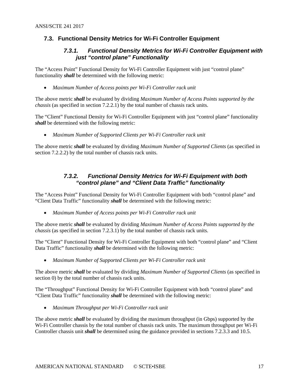#### <span id="page-16-1"></span><span id="page-16-0"></span>**7.3. Functional Density Metrics for Wi-Fi Controller Equipment**

#### *7.3.1. Functional Density Metrics for Wi-Fi Controller Equipment with just "control plane" Functionality*

The "Access Point" Functional Density for Wi-Fi Controller Equipment with just "control plane" functionality *shall* be determined with the following metric:

• *Maximum Number of Access points per Wi-Fi Controller rack unit* 

The above metric *shall* be evaluated by dividing *Maximum Number of Access Points supported by the chassis* (as specified in section [7.2.2.1\)](#page-13-5) by the total number of chassis rack units.

The "Client" Functional Density for Wi-Fi Controller Equipment with just "control plane" functionality *shall* be determined with the following metric:

• *Maximum Number of Supported Clients per Wi-Fi Controller rack unit*

<span id="page-16-2"></span>The above metric *shall* be evaluated by dividing *Maximum Number of Supported Clients* (as specified in section [7.2.2.2\)](#page-14-1) by the total number of chassis rack units.

#### *7.3.2. Functional Density Metrics for Wi-Fi Equipment with both "control plane" and "Client Data Traffic" functionality*

The "Access Point" Functional Density for Wi-Fi Controller Equipment with both "control plane" and "Client Data Traffic" functionality *shall* be determined with the following metric:

• *Maximum Number of Access points per Wi-Fi Controller rack unit* 

The above metric *shall* be evaluated by dividing *Maximum Number of Access Points supported by the chassis* (as specified in section [7.2.3.1\)](#page-14-2) by the total number of chassis rack units.

The "Client" Functional Density for Wi-Fi Controller Equipment with both "control plane" and "Client Data Traffic" functionality *shall* be determined with the following metric:

• *Maximum Number of Supported Clients per Wi-Fi Controller rack unit*

The above metric *shall* be evaluated by dividing *Maximum Number of Supported Clients* (as specified in section [0\)](#page-14-3) by the total number of chassis rack units.

The "Throughput" Functional Density for Wi-Fi Controller Equipment with both "control plane" and "Client Data Traffic" functionality *shall* be determined with the following metric:

• *Maximum Throughput per Wi-Fi Controller rack unit*

The above metric *shall* be evaluated by dividing the maximum throughput (in Gbps) supported by the Wi-Fi Controller chassis by the total number of chassis rack units. The maximum throughput per Wi-Fi Controller chassis unit *shall* be determined using the guidance provided in sections [7.2.3.3](#page-15-0) and [10.5.](#page-24-0)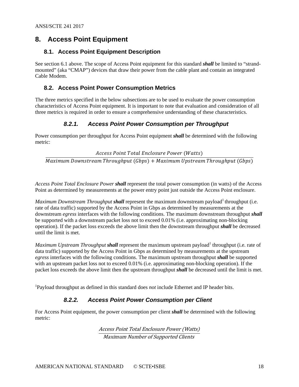### <span id="page-17-0"></span>**8. Access Point Equipment**

#### <span id="page-17-1"></span>**8.1. Access Point Equipment Description**

See section 6.1 above. The scope of Access Point equipment for this standard *shall* be limited to "strandmounted" (aka "CMAP") devices that draw their power from the cable plant and contain an integrated Cable Modem.

#### <span id="page-17-2"></span>**8.2. Access Point Power Consumption Metrics**

The three metrics specified in the below subsections are to be used to evaluate the power consumption characteristics of Access Point equipment. It is important to note that evaluation and consideration of all three metrics is required in order to ensure a comprehensive understanding of these characteristics.

#### *8.2.1. Access Point Power Consumption per Throughput*

<span id="page-17-3"></span>Power consumption per throughput for Access Point equipment *shall* be determined with the following metric:

Access Point Total Enclosure Power (Watts)

Maximum Downstream Throughput (Gbps) + Maximum Upstream Throughput (Gbps)

*Access Point Total Enclosure Power shall* represent the total power consumption (in watts) of the Access Point as determined by measurements at the power entry point just outside the Access Point enclosure.

*Maximum Downstream Throughput shall* represent the maximum downstream payload<sup>1</sup> throughput (i.e. rate of data traffic) supported by the Access Point in Gbps as determined by measurements at the downstream *egress* interfaces with the following conditions. The maximum downstream throughput *shall* be supported with a downstream packet loss not to exceed 0.01% (i.e. approximating non-blocking operation). If the packet loss exceeds the above limit then the downstream throughput *shall* be decreased until the limit is met.

*Maximum Upstream Throughput shall represent the maximum upstream payload<sup>1</sup> throughput (i.e. rate of* data traffic) supported by the Access Point in Gbps as determined by measurements at the upstream *egress* interfaces with the following conditions. The maximum upstream throughput *shall* be supported with an upstream packet loss not to exceed 0.01% (i.e. approximating non-blocking operation). If the packet loss exceeds the above limit then the upstream throughput *shall* be decreased until the limit is met.

<span id="page-17-4"></span>1 Payload throughput as defined in this standard does *not* include Ethernet and IP header bits.

#### *8.2.2. Access Point Power Consumption per Client*

For Access Point equipment, the power consumption per client *shall* be determined with the following metric:

> Access Point Total Enclosure Power (Watts) Maximum Number of Supported Clients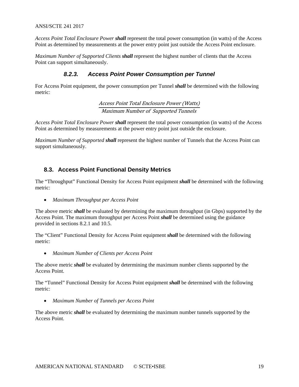#### ANSI/SCTE 241 2017

*Access Point Total Enclosure Power shall* represent the total power consumption (in watts) of the Access Point as determined by measurements at the power entry point just outside the Access Point enclosure.

<span id="page-18-0"></span>*Maximum Number of Supported Clients shall* represent the highest number of clients that the Access Point can support simultaneously.

#### *8.2.3. Access Point Power Consumption per Tunnel*

For Access Point equipment, the power consumption per Tunnel *shall* be determined with the following metric:

> Access Point Total Enclosure Power (Watts) Maximum Number of Supported Tunnels

*Access Point Total Enclosure Power shall* represent the total power consumption (in watts) of the Access Point as determined by measurements at the power entry point just outside the enclosure.

*Maximum Number of Supported shall* represent the highest number of Tunnels that the Access Point can support simultaneously.

#### <span id="page-18-1"></span>**8.3. Access Point Functional Density Metrics**

The "Throughput" Functional Density for Access Point equipment *shall* be determined with the following metric:

• *Maximum Throughput per Access Point*

The above metric *shall* be evaluated by determining the maximum throughput (in Gbps) supported by the Access Point. The maximum throughput per Access Point *shall* be determined using the guidance provided in sections [8.2.1](#page-17-3) and [10.5.](#page-24-0)

The "Client" Functional Density for Access Point equipment *shall* be determined with the following metric:

• *Maximum Number of Clients per Access Point*

The above metric *shall* be evaluated by determining the maximum number clients supported by the Access Point.

The "Tunnel" Functional Density for Access Point equipment *shall* be determined with the following metric:

• *Maximum Number of Tunnels per Access Point*

The above metric *shall* be evaluated by determining the maximum number tunnels supported by the Access Point.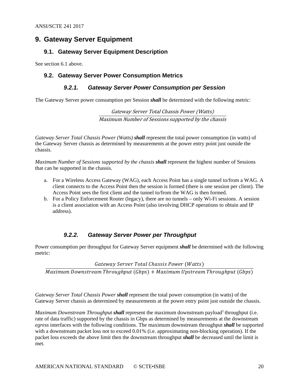#### <span id="page-19-0"></span>**9. Gateway Server Equipment**

#### <span id="page-19-1"></span>**9.1. Gateway Server Equipment Description**

<span id="page-19-2"></span>See section 6.1 above.

#### <span id="page-19-3"></span>**9.2. Gateway Server Power Consumption Metrics**

#### *9.2.1. Gateway Server Power Consumption per Session*

The Gateway Server power consumption per Session *shall* be determined with the following metric:

Gateway Server Total Chassis Power (Watts) Maximum Number of Sessions supported by the chassis

*Gateway Server Total Chassis Power (Watts) shall* represent the total power consumption (in watts) of the Gateway Server chassis as determined by measurements at the power entry point just outside the chassis.

*Maximum Number of Sessions supported by the chassis shall* represent the highest number of Sessions that can be supported in the chassis.

- a. For a Wireless Access Gateway (WAG), each Access Point has a single tunnel to/from a WAG. A client connects to the Access Point then the session is formed (there is one session per client). The Access Point sees the first client and the tunnel to/from the WAG is then formed.
- b. For a Policy Enforcement Router (legacy), there are no tunnels only Wi-Fi sessions. A session is a client association with an Access Point (also involving DHCP operations to obtain and IP address).

#### *9.2.2. Gateway Server Power per Throughput*

<span id="page-19-4"></span>Power consumption per throughput for Gateway Server equipment *shall* be determined with the following metric:

**Gateway Server Total Chassis Power (Watts)** 

 $\overline{Maximum}$  Downstream Throughput (Gbps) +  $Maximum$  Upstream Throughput (Gbps)

*Gateway Server Total Chassis Power shall* represent the total power consumption (in watts) of the Gateway Server chassis as determined by measurements at the power entry point just outside the chassis.

*Maximum Downstream Throughput shall* represent the maximum downstream payload<sup>1</sup> throughput (i.e. rate of data traffic) supported by the chassis in Gbps as determined by measurements at the downstream *egress* interfaces with the following conditions. The maximum downstream throughput *shall* be supported with a downstream packet loss not to exceed 0.01% (i.e. approximating non-blocking operation). If the packet loss exceeds the above limit then the downstream throughput *shall* be decreased until the limit is met.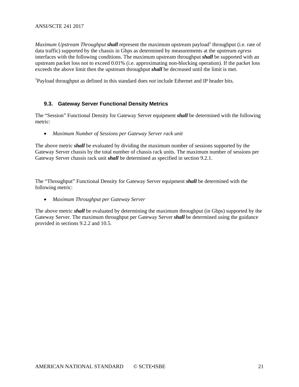*Maximum Upstream Throughput shall* represent the maximum upstream payload<sup>1</sup> throughput (i.e. rate of data traffic) supported by the chassis in Gbps as determined by measurements at the upstream *egress* interfaces with the following conditions. The maximum upstream throughput *shall* be supported with an upstream packet loss not to exceed 0.01% (i.e. approximating non-blocking operation). If the packet loss exceeds the above limit then the upstream throughput *shall* be decreased until the limit is met.

1 Payload throughput as defined in this standard does *not* include Ethernet and IP header bits.

#### <span id="page-20-0"></span>**9.3. Gateway Server Functional Density Metrics**

The "Session" Functional Density for Gateway Server equipment *shall* be determined with the following metric:

• *Maximum Number of Sessions per Gateway Server rack unit*

The above metric *shall* be evaluated by dividing the maximum number of sessions supported by the Gateway Server chassis by the total number of chassis rack units. The maximum number of sessions per Gateway Server chassis rack unit *shall* be determined as specified in section [9.2.1.](#page-19-3)

The "Throughput" Functional Density for Gateway Server equipment *shall* be determined with the following metric:

• *Maximum Throughput per Gateway Server*

The above metric *shall* be evaluated by determining the maximum throughput (in Gbps) supported by the Gateway Server. The maximum throughput per Gateway Server *shall* be determined using the guidance provided in sections [9.2.2](#page-19-4) and [10.5.](#page-24-0)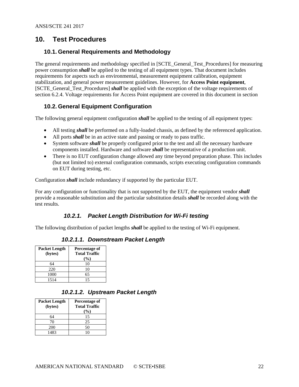#### <span id="page-21-1"></span><span id="page-21-0"></span>**10. Test Procedures**

#### **10.1. General Requirements and Methodology**

The general requirements and methodology specified in [SCTE\_General\_Test\_Procedures] for measuring power consumption *shall* be applied to the testing of all equipment types. That document includes requirements for aspects such as environmental, measurement equipment calibration, equipment stabilization, and general power measurement guidelines. However, for **Access Point equipment**, [SCTE\_General\_Test\_Procedures] *shall* be applied with the exception of the voltage requirements of section 6.2.4. Voltage requirements for Access Point equipment are covered in this document in section

#### <span id="page-21-2"></span>**10.2. General Equipment Configuration**

The following general equipment configuration *shall* be applied to the testing of all equipment types:

- All testing *shall* be performed on a fully-loaded chassis, as defined by the referenced application.
- All ports *shall* be in an active state and passing or ready to pass traffic.
- System software *shall* be properly configured prior to the test and all the necessary hardware components installed. Hardware and software *shall* be representative of a production unit.
- There is no EUT configuration change allowed any time beyond preparation phase. This includes (but not limited to) external configuration commands, scripts executing configuration commands on EUT during testing, etc.

Configuration *shall* include redundancy if supported by the particular EUT.

For any configuration or functionality that is not supported by the EUT, the equipment vendor *shall* provide a reasonable substitution and the particular substitution details *shall* be recorded along with the test results.

#### *10.2.1. Packet Length Distribution for Wi-Fi testing*

<span id="page-21-3"></span>The following distribution of packet lengths *shall* be applied to the testing of Wi-Fi equipment.

#### *10.2.1.1. Downstream Packet Length*

| <b>Packet Length</b> | Percentage of        |
|----------------------|----------------------|
| (bytes)              | <b>Total Traffic</b> |
|                      | $(\%)$               |
| 64                   | 10                   |
| 220                  | 10                   |
| 1000                 | 65                   |
| 1514                 | 15                   |

#### *10.2.1.2. Upstream Packet Length*

| <b>Packet Length</b> | Percentage of        |
|----------------------|----------------------|
| (bytes)              | <b>Total Traffic</b> |
|                      | (%)                  |
| 64                   | 15                   |
| 70                   | 25                   |
| 200                  | 50                   |
| 1483                 |                      |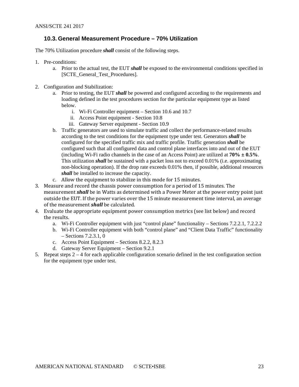#### <span id="page-22-0"></span>**10.3. General Measurement Procedure – 70% Utilization**

The 70% Utilization procedure *shall* consist of the following steps.

- 1. Pre-conditions:
	- a. Prior to the actual test, the EUT *shall* be exposed to the environmental conditions specified in [SCTE\_General\_Test\_Procedures].
- 2. Configuration and Stabilization:
	- a. Prior to testing, the EUT *shall* be powered and configured according to the requirements and loading defined in the test procedures section for the particular equipment type as listed below.
		- i. Wi-Fi Controller equipment Section [10.6](#page-25-0) and [10.7](#page-25-3)
		- ii. Access Point equipment Section [10.8](#page-26-0)
		- iii. Gateway Server equipment Section [10.9](#page-27-1)
	- b. Traffic generators are used to simulate traffic and collect the performance-related results according to the test conditions for the equipment type under test. Generators *shall* be configured for the specified traffic mix and traffic profile. Traffic generation *shall* be configured such that all configured data and control plane interfaces into and out of the EUT (including Wi-Fi radio channels in the case of an Access Point) are utilized at **70% ± 0.5%**. This utilization *shall* be sustained with a packet loss not to exceed 0.01% (i.e. approximating non-blocking operation). If the drop rate exceeds 0.01% then, if possible, additional resources *shall* be installed to increase the capacity.
	- c. Allow the equipment to stabilize in this mode for 15 minutes.
- 3. Measure and record the chassis power consumption for a period of 15 minutes. The measurement *shall* be in Watts as determined with a Power Meter at the power entry point just outside the EUT. If the power varies over the 15 minute measurement time interval, an average of the measurement *shall* be calculated.
- 4. Evaluate the appropriate equipment power consumption metrics (see list below) and record the results.
	- a. Wi-Fi Controller equipment with just "control plane" functionality Sections [7.2.2.1,](#page-13-5) [7.2.2.2](#page-14-1)
	- b. Wi-Fi Controller equipment with both "control plane" and "Client Data Traffic" functionality – Sections [7.2.3.1,](#page-14-2) [0](#page-14-3)
	- c. Access Point Equipment Sections [8.2.2,](#page-17-4) [8.2.3](#page-18-0)
	- d. Gateway Server Equipment Section [9.2.1](#page-19-3)
- 5. Repeat steps 2 4 for each applicable configuration scenario defined in the test configuration section for the equipment type under test.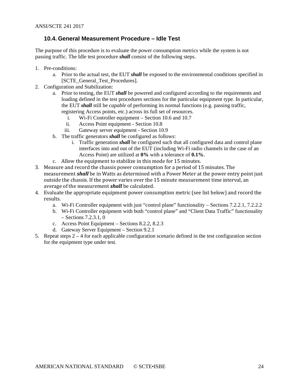#### <span id="page-23-0"></span>**10.4. General Measurement Procedure – Idle Test**

The purpose of this procedure is to evaluate the power consumption metrics while the system is not passing traffic. The Idle test procedure *shall* consist of the following steps.

- 1. Pre-conditions:
	- a. Prior to the actual test, the EUT *shall* be exposed to the environmental conditions specified in [SCTE\_General\_Test\_Procedures].
- 2. Configuration and Stabilization:
	- a. Prior to testing, the EUT *shall* be powered and configured according to the requirements and loading defined in the test procedures sections for the particular equipment type. In particular, the EUT *shall* still be *capable* of performing its normal functions (e.g. passing traffic, registering Access points, etc.) across its full set of resources.
		- i. Wi-Fi Controller equipment Section [10.6](#page-25-0) and [10.7](#page-25-3)
		- ii. Access Point equipment Section [10.8](#page-26-0)
		- iii. Gateway server equipment Section [10.9](#page-27-1)
	- b. The traffic generators *shall* be configured as follows:
		- i. Traffic generation *shall* be configured such that all configured data and control plane interfaces into and out of the EUT (including Wi-Fi radio channels in the case of an Access Point) are utilized at **0%** with a tolerance of **0.1%**.
	- c. Allow the equipment to stabilize in this mode for 15 minutes.
- 3. Measure and record the chassis power consumption for a period of 15 minutes. The measurement *shall* be in Watts as determined with a Power Meter at the power entry point just outside the chassis. If the power varies over the 15 minute measurement time interval, an average of the measurement *shall* be calculated.
- 4. Evaluate the appropriate equipment power consumption metric (see list below) and record the results.
	- a. Wi-Fi Controller equipment with just "control plane" functionality Sections [7.2.2.1,](#page-13-5) [7.2.2.2](#page-14-1)
	- b. Wi-Fi Controller equipment with both "control plane" and "Client Data Traffic" functionality – Sections [7.2.3.1,](#page-14-2) [0](#page-14-3)
	- c. Access Point Equipment Sections [8.2.2,](#page-17-4) [8.2.3](#page-18-0)
	- d. Gateway Server Equipment Section [9.2.1](#page-19-3)
- 5. Repeat steps  $2 4$  for each applicable configuration scenario defined in the test configuration section for the equipment type under test.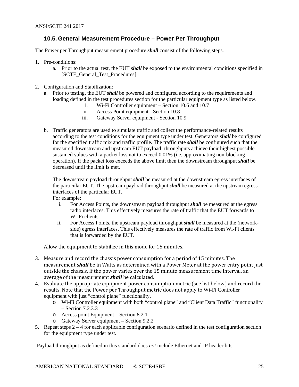#### <span id="page-24-0"></span>**10.5. General Measurement Procedure – Power Per Throughput**

The Power per Throughput measurement procedure *shall* consist of the following steps.

- 1. Pre-conditions:
	- a. Prior to the actual test, the EUT *shall* be exposed to the environmental conditions specified in [SCTE\_General\_Test\_Procedures].
- 2. Configuration and Stabilization:
	- a. Prior to testing, the EUT *shall* be powered and configured according to the requirements and loading defined in the test procedures section for the particular equipment type as listed below.
		- i. Wi-Fi Controller equipment Section [10.6](#page-25-0) and [10.7](#page-25-3)
		- ii. Access Point equipment Section [10.8](#page-26-0)
		- iii. Gateway Server equipment Section [10.9](#page-27-1)
	- b. Traffic generators are used to simulate traffic and collect the performance-related results according to the test conditions for the equipment type under test. Generators *shall* be configured for the specified traffic mix and traffic profile. The traffic rate *shall* be configured such that the measured downstream and upstream  $\angle$ EUT payload<sup>1</sup> throughputs achieve their highest possible sustained values with a packet loss not to exceed 0.01% (i.e. approximating non-blocking operation). If the packet loss exceeds the above limit then the downstream throughput *shall* be decreased until the limit is met.

The downstream payload throughput *shall* be measured at the downstream egress interfaces of the particular EUT. The upstream payload throughput *shall* be measured at the upstream egress interfaces of the particular EUT.

For example:

- i. For Access Points, the downstream payload throughput *shall* be measured at the egress radio interfaces. This effectively measures the rate of traffic that the EUT forwards to Wi-Fi clients.
- ii. For Access Points, the upstream payload throughput *shall* be measured at the (networkside) egress interfaces. This effectively measures the rate of traffic from Wi-Fi clients that is forwarded by the EUT.

Allow the equipment to stabilize in this mode for 15 minutes.

- 3. Measure and record the chassis power consumption for a period of 15 minutes. The measurement *shall* be in Watts as determined with a Power Meter at the power entry point just outside the chassis. If the power varies over the 15 minute measurement time interval, an average of the measurement *shall* be calculated.
- 4. Evaluate the appropriate equipment power consumption metric (see list below) and record the results. Note that the Power per Throughput metric does not apply to Wi-Fi Controller equipment with just "control plane" functionality.
	- o Wi-Fi Controller equipment with both "control plane" and "Client Data Traffic" functionality – Section [7.2.3.3](#page-15-0)
	- o Access point Equipment Section [8.2.1](#page-17-3)
	- o Gateway Server equipment Section [9.2.2](#page-19-4)
- 5. Repeat steps 2 4 for each applicable configuration scenario defined in the test configuration section for the equipment type under test.

1 Payload throughput as defined in this standard does *not* include Ethernet and IP header bits.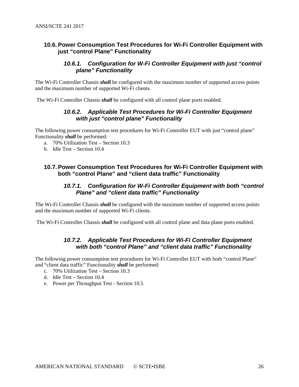#### <span id="page-25-1"></span><span id="page-25-0"></span>**10.6. Power Consumption Test Procedures for Wi-Fi Controller Equipment with just "control Plane" Functionality**

#### *10.6.1. Configuration for W-Fi Controller Equipment with just "control plane" Functionality*

The Wi-Fi Controller Chassis *shall* be configured with the maximum number of supported access points and the maximum number of supported Wi-Fi clients.

<span id="page-25-2"></span>The Wi-Fi Controller Chassis *shall* be configured with all control plane ports enabled.

#### *10.6.2. Applicable Test Procedures for Wi-Fi Controller Equipment with just "control plane" Functionality*

The following power consumption test procedures for Wi-Fi Controller EUT with just "control plane" Functionality *shall* be performed:

- a. 70% Utilization Test Section [10.3](#page-22-0)
- b. Idle Test Section [10.4](#page-23-0)

#### <span id="page-25-4"></span><span id="page-25-3"></span>**10.7. Power Consumption Test Procedures for Wi-Fi Controller Equipment with both "control Plane" and "client data traffic" Functionality**

#### *10.7.1. Configuration for W-Fi Controller Equipment with both "control Plane" and "client data traffic" Functionality*

The Wi-Fi Controller Chassis *shall* be configured with the maximum number of supported access points and the maximum number of supported Wi-Fi clients.

<span id="page-25-5"></span>The Wi-Fi Controller Chassis *shall* be configured with all control plane and data plane ports enabled.

#### *10.7.2. Applicable Test Procedures for Wi-Fi Controller Equipment with both "control Plane" and "client data traffic" Functionality*

The following power consumption test procedures for Wi-Fi Controller EUT with both "control Plane" and "client data traffic" Functionality *shall* be performed:

- c. 70% Utilization Test Section [10.3](#page-22-0)
- d. Idle Test Section [10.4](#page-23-0)
- e. Power per Throughput Test Section [10.5](#page-24-0)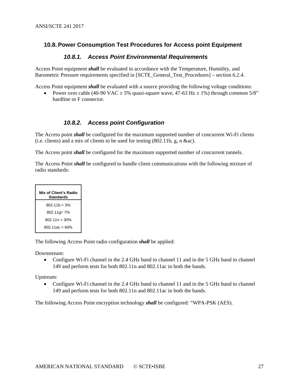#### <span id="page-26-1"></span><span id="page-26-0"></span>**10.8. Power Consumption Test Procedures for Access point Equipment**

#### *10.8.1. Access Point Environmental Requirements*

Access Point equipment *shall* be evaluated in accordance with the Temperature, Humidity, and Barometric Pressure requirements specified in [SCTE\_General\_Test\_Procedures] – section 6.2.4.

Access Point equipment *shall* be evaluated with a source providing the following voltage conditions:

• Power over cable (40-90 VAC  $\pm$  5% quasi-square wave, 47-63 Hz  $\pm$  1%) through common 5/8" hardline or F connector.

#### *10.8.2. Access point Configuration*

<span id="page-26-2"></span>The Access point *shall* be configured for the maximum supported number of concurrent Wi-Fi clients (i.e. clients) and a mix of clients to be used for testing (802.11b, g, n &ac).

The Access point *shall* be configured for the maximum supported number of concurrent tunnels.

The Access Point *shall* be configured to handle client communications with the following mixture of radio standards:



The following Access Point radio configuration *shall* be applied:

Downstream:

• Configure Wi-Fi channel in the 2.4 GHz band to channel 11 and in the 5 GHz band to channel 149 and perform tests for both 802.11n and 802.11ac in both the bands.

Upstream:

• Configure Wi-Fi channel in the 2.4 GHz band to channel 11 and in the 5 GHz band to channel 149 and perform tests for both 802.11n and 802.11ac in both the bands.

The following Access Point encryption technology *shall* be configured: "WPA-PSK (AES).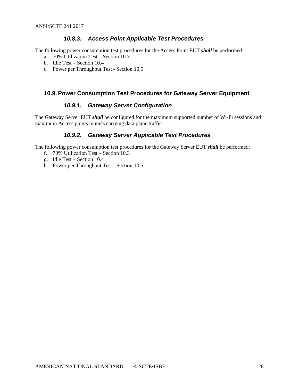#### *10.8.3. Access Point Applicable Test Procedures*

<span id="page-27-0"></span>The following power consumption test procedures for the Access Point EUT *shall* be performed:

- a. 70% Utilization Test Section [10.3](#page-22-0)
- b. Idle Test Section [10.4](#page-23-0)
- c. Power per Throughput Test Section [10.5](#page-24-0)

#### <span id="page-27-2"></span><span id="page-27-1"></span>**10.9. Power Consumption Test Procedures for Gateway Server Equipment**

#### *10.9.1. Gateway Server Configuration*

<span id="page-27-3"></span>The Gateway Server EUT *shall* be configured for the maximum supported number of Wi-Fi sessions and maximum Access points tunnels carrying data plane traffic.

#### *10.9.2. Gateway Server Applicable Test Procedures*

The following power consumption test procedures for the Gateway Server EUT *shall* be performed:

- f. 70% Utilization Test Section [10.3](#page-22-0)
- g. Idle Test Section [10.4](#page-23-0)
- h. Power per Throughput Test Section [10.5](#page-24-0)